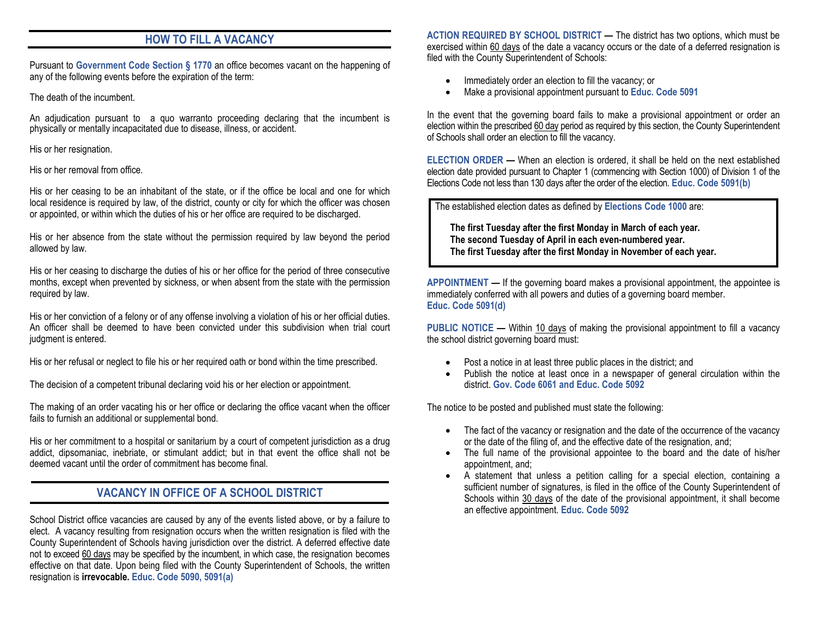### **HOW TO FILL A VACANCY**

Pursuant to **Government Code Section § 1770** an office becomes vacant on the happening of any of the following events before the expiration of the term:

The death of the incumbent.

An adjudication pursuant to a quo warranto proceeding declaring that the incumbent is physically or mentally incapacitated due to disease, illness, or accident.

His or her resignation.

His or her removal from office.

His or her ceasing to be an inhabitant of the state, or if the office be local and one for which local residence is required by law, of the district, county or city for which the officer was chosen or appointed, or within which the duties of his or her office are required to be discharged.

His or her absence from the state without the permission required by law beyond the period allowed by law.

His or her ceasing to discharge the duties of his or her office for the period of three consecutive months, except when prevented by sickness, or when absent from the state with the permission required by law.

His or her conviction of a felony or of any offense involving a violation of his or her official duties. An officer shall be deemed to have been convicted under this subdivision when trial court judgment is entered.

His or her refusal or neglect to file his or her required oath or bond within the time prescribed.

The decision of a competent tribunal declaring void his or her election or appointment.

The making of an order vacating his or her office or declaring the office vacant when the officer fails to furnish an additional or supplemental bond.

His or her commitment to a hospital or sanitarium by a court of competent jurisdiction as a drug addict, dipsomaniac, inebriate, or stimulant addict; but in that event the office shall not be deemed vacant until the order of commitment has become final.

#### **VACANCY IN OFFICE OF A SCHOOL DISTRICT**

School District office vacancies are caused by any of the events listed above, or by a failure to elect. A vacancy resulting from resignation occurs when the written resignation is filed with the County Superintendent of Schools having jurisdiction over the district. A deferred effective date not to exceed 60 days may be specified by the incumbent, in which case, the resignation becomes effective on that date. Upon being filed with the County Superintendent of Schools, the written resignation is **irrevocable. Educ. Code 5090, 5091(a)**

**ACTION REQUIRED BY SCHOOL DISTRICT —** The district has two options, which must be exercised within 60 days of the date a vacancy occurs or the date of a deferred resignation is filed with the County Superintendent of Schools:

- Immediately order an election to fill the vacancy; or
- Make a provisional appointment pursuant to **Educ. Code 5091**

In the event that the governing board fails to make a provisional appointment or order an election within the prescribed 60 day period as required by this section, the County Superintendent of Schools shall order an election to fill the vacancy.

**ELECTION ORDER —** When an election is ordered, it shall be held on the next established election date provided pursuant to Chapter 1 (commencing with Section 1000) of Division 1 of the Elections Code not less than 130 days after the order of the election. **Educ. Code 5091(b)**

The established election dates as defined by **Elections Code 1000** are:

**The first Tuesday after the first Monday in March of each year. The second Tuesday of April in each even-numbered year. The first Tuesday after the first Monday in November of each year.**

**APPOINTMENT —** If the governing board makes a provisional appointment, the appointee is immediately conferred with all powers and duties of a governing board member. **Educ. Code 5091(d)**

**PUBLIC NOTICE —** Within 10 days of making the provisional appointment to fill a vacancy the school district governing board must:

- Post a notice in at least three public places in the district; and
- Publish the notice at least once in a newspaper of general circulation within the district. **Gov. Code 6061 and Educ. Code 5092**

The notice to be posted and published must state the following:

- The fact of the vacancy or resignation and the date of the occurrence of the vacancy or the date of the filing of, and the effective date of the resignation, and;
- The full name of the provisional appointee to the board and the date of his/her appointment, and;
- A statement that unless a petition calling for a special election, containing a sufficient number of signatures, is filed in the office of the County Superintendent of Schools within 30 days of the date of the provisional appointment, it shall become an effective appointment. **Educ. Code 5092**